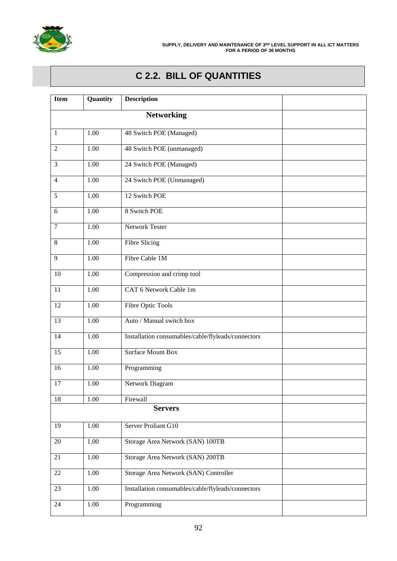

# **C 2.2. BILL OF QUANTITIES**

| <b>Item</b>    | Quantity          | <b>Description</b>                                 |  |
|----------------|-------------------|----------------------------------------------------|--|
|                |                   |                                                    |  |
| $\mathbf{1}$   | 1.00              | 48 Switch POE (Managed)                            |  |
| $\overline{2}$ | 1.00              | 48 Switch POE (unmanaged)                          |  |
| 3              | 1.00              | 24 Switch POE (Managed)                            |  |
| 4              | $\overline{1.00}$ | 24 Switch POE (Unmanaged)                          |  |
| 5              | 1.00              | 12 Switch POE                                      |  |
| 6              | 1.00              | 8 Switch POE                                       |  |
| $\tau$         | 1.00              | <b>Network Tester</b>                              |  |
| 8              | 1.00              | <b>Fibre Slicing</b>                               |  |
| 9              | 1.00              | Fibre Cable 1M                                     |  |
| 10             | 1.00              | Compression and crimp tool                         |  |
| 11             | 1.00              | CAT 6 Network Cable 1m                             |  |
| 12             | 1.00              | <b>Fibre Optic Tools</b>                           |  |
| 13             | $\overline{1.00}$ | Auto / Manual switch box                           |  |
| 14             | $\overline{1.00}$ | Installation consumables/cable/flyleads/connectors |  |
| 15             | 1.00              | <b>Surface Mount Box</b>                           |  |
| 16             | 1.00              | Programming                                        |  |
| 17             | 1.00              | Network Diagram                                    |  |
| 18             | 1.00              | Firewall                                           |  |
|                |                   | <b>Servers</b>                                     |  |
| 19             | 1.00              | Server Proliant G10                                |  |
| 20             | 1.00              | Storage Area Network (SAN) 100TB                   |  |
| 21             | 1.00              | Storage Area Network (SAN) 200TB                   |  |
| 22             | 1.00              | Storage Area Network (SAN) Controller              |  |
| 23             | 1.00              | Installation consumables/cable/flyleads/connectors |  |
| 24             | 1.00              | Programming                                        |  |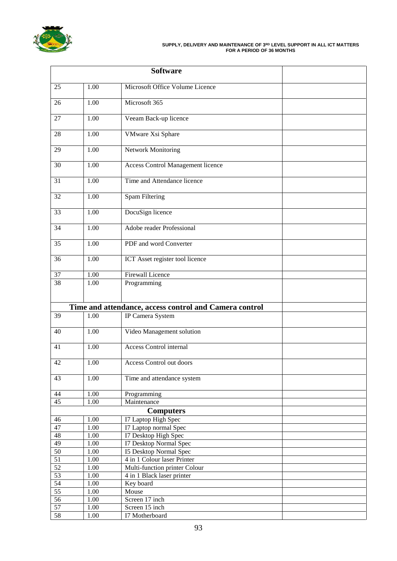

### **SUPPLY, DELIVERY AND MAINTENANCE OF 3RD LEVEL SUPPORT IN ALL ICT MATTERS FOR A PERIOD OF 36 MONTHS**

| 25              | 1.00              | Microsoft Office Volume Licence                        |  |
|-----------------|-------------------|--------------------------------------------------------|--|
| 26              | 1.00              | Microsoft 365                                          |  |
| 27              | 1.00              | Veeam Back-up licence                                  |  |
| 28              | $\overline{1.00}$ | <b>VMware Xsi Sphare</b>                               |  |
| 29              | 1.00              | Network Monitoring                                     |  |
| 30              | 1.00              | <b>Access Control Management licence</b>               |  |
| 31              | 1.00              | Time and Attendance licence                            |  |
| 32              | 1.00              | Spam Filtering                                         |  |
| 33              | 1.00              | DocuSign licence                                       |  |
| 34              | 1.00              | Adobe reader Professional                              |  |
| 35              | 1.00              | PDF and word Converter                                 |  |
| 36              | 1.00              | ICT Asset register tool licence                        |  |
| $\overline{37}$ | $\overline{1.00}$ | <b>Firewall Licence</b>                                |  |
| 38              | 1.00              | Programming                                            |  |
|                 |                   | Time and attendance, access control and Camera control |  |
| 39              | 1.00              | IP Camera System                                       |  |
| 40              | 1.00              | Video Management solution                              |  |
| 41              | 1.00              | <b>Access Control internal</b>                         |  |
| 42              | 1.00              | Access Control out doors                               |  |
| 43              | 1.00              | Time and attendance system                             |  |
| $\overline{44}$ | 1.00              | Programming                                            |  |
| 45              | 1.00              | Maintenance                                            |  |
|                 |                   | <b>Computers</b>                                       |  |
| 46              | 1.00              | I7 Laptop High Spec                                    |  |
| 47              | 1.00              | I7 Laptop normal Spec                                  |  |
| 48              | 1.00              | I7 Desktop High Spec                                   |  |
| 49              | 1.00              | I7 Desktop Normal Spec                                 |  |
| $\overline{50}$ | $1.00\,$          | <b>I5 Desktop Normal Spec</b>                          |  |
| 51              | $1.00\,$          | 4 in 1 Colour laser Printer                            |  |
| 52              | 1.00              | Multi-function printer Colour                          |  |
| 53              | $1.00\,$          | 4 in 1 Black laser printer                             |  |
| 54              | $1.00\,$          | Key board                                              |  |
| 55              | $1.00\,$          | Mouse                                                  |  |
| 56              | 1.00              | Screen 17 inch                                         |  |
| 57              | $1.00\,$          | Screen 15 inch                                         |  |
| 58              | 1.00              | I7 Motherboard                                         |  |
|                 |                   |                                                        |  |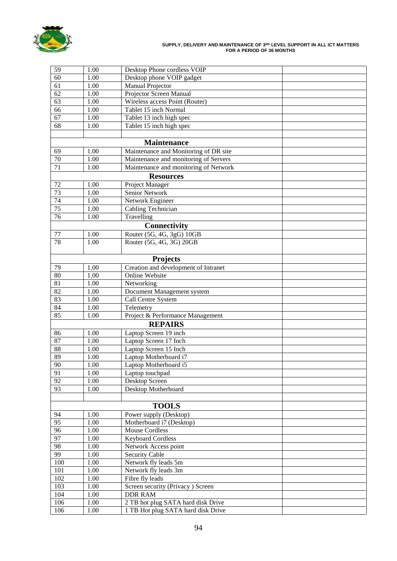

### **SUPPLY, DELIVERY AND MAINTENANCE OF 3RD LEVEL SUPPORT IN ALL ICT MATTERS FOR A PERIOD OF 36 MONTHS**

| 59              | 1.00               | Desktop Phone cordless VOIP           |  |  |  |  |  |  |  |  |
|-----------------|--------------------|---------------------------------------|--|--|--|--|--|--|--|--|
| $\overline{60}$ | 1.00               | Desktop phone VOIP gadget             |  |  |  |  |  |  |  |  |
| 61              | 1.00               | <b>Manual Projector</b>               |  |  |  |  |  |  |  |  |
| 62              | 1.00               | Projector Screen Manual               |  |  |  |  |  |  |  |  |
| $\overline{63}$ | 1.00               | Wireless access Point (Router)        |  |  |  |  |  |  |  |  |
| $\overline{66}$ | 1.00               | Tablet 15 inch Normal                 |  |  |  |  |  |  |  |  |
| $\overline{67}$ | 1.00               | Tablet 13 inch high spec              |  |  |  |  |  |  |  |  |
| $\overline{68}$ | 1.00               | Tablet 15 inch high spec              |  |  |  |  |  |  |  |  |
|                 |                    |                                       |  |  |  |  |  |  |  |  |
|                 | <b>Maintenance</b> |                                       |  |  |  |  |  |  |  |  |
| 69              | 1.00               | Maintenance and Monitoring of DR site |  |  |  |  |  |  |  |  |
| 70              | 1.00               | Maintenance and monitoring of Servers |  |  |  |  |  |  |  |  |
| $\overline{71}$ | 1.00               | Maintenance and monitoring of Network |  |  |  |  |  |  |  |  |
|                 |                    | <b>Resources</b>                      |  |  |  |  |  |  |  |  |
| 72              | 1.00               | Project Manager                       |  |  |  |  |  |  |  |  |
| $\overline{73}$ | 1.00               | Senior Network                        |  |  |  |  |  |  |  |  |
| 74              | 1.00               | Network Engineer                      |  |  |  |  |  |  |  |  |
| $\overline{75}$ | 1.00               | Cabling Technician                    |  |  |  |  |  |  |  |  |
| 76              | 1.00               | Travelling                            |  |  |  |  |  |  |  |  |
|                 |                    | <b>Connectivity</b>                   |  |  |  |  |  |  |  |  |
|                 |                    |                                       |  |  |  |  |  |  |  |  |
| $77\,$<br>78    | 1.00               | Router (5G, 4G, 3gG) 10GB             |  |  |  |  |  |  |  |  |
|                 | 1.00               | Router (5G, 4G, 3G) 20GB              |  |  |  |  |  |  |  |  |
|                 |                    | <b>Projects</b>                       |  |  |  |  |  |  |  |  |
| 79              | 1.00               | Creation and development of Intranet  |  |  |  |  |  |  |  |  |
| 80              | 1.00               | Online Website                        |  |  |  |  |  |  |  |  |
| 81              | 1.00               | Networking                            |  |  |  |  |  |  |  |  |
| 82              | 1.00               | Document Management system            |  |  |  |  |  |  |  |  |
| 83              | 1.00               | Call Centre System                    |  |  |  |  |  |  |  |  |
| 84              | 1.00               | Telemetry                             |  |  |  |  |  |  |  |  |
| 85              | 1.00               | Project & Performance Management      |  |  |  |  |  |  |  |  |
|                 |                    | <b>REPAIRS</b>                        |  |  |  |  |  |  |  |  |
| 86              | 1.00               | Laptop Screen 19 inch                 |  |  |  |  |  |  |  |  |
| 87              | 1.00               | Laptop Screen 17 Inch                 |  |  |  |  |  |  |  |  |
| 88              | 1.00               | Laptop Screen 15 Inch                 |  |  |  |  |  |  |  |  |
| 89              | 1.00               | Laptop Motherboard i7                 |  |  |  |  |  |  |  |  |
| $\overline{90}$ | $1.00\,$           | Laptop Motherboard i5                 |  |  |  |  |  |  |  |  |
| 91              | 1.00               | Laptop touchpad                       |  |  |  |  |  |  |  |  |
| $\overline{92}$ | 1.00               | Desktop Screen                        |  |  |  |  |  |  |  |  |
| $\overline{93}$ | 1.00               | Desktop Motherboard                   |  |  |  |  |  |  |  |  |
|                 |                    |                                       |  |  |  |  |  |  |  |  |
|                 |                    | <b>TOOLS</b>                          |  |  |  |  |  |  |  |  |
| 94              | 1.00               | Power supply (Desktop)                |  |  |  |  |  |  |  |  |
| 95              | 1.00               | Motherboard i7 (Desktop)              |  |  |  |  |  |  |  |  |
| 96              | 1.00               | <b>Mouse Cordless</b>                 |  |  |  |  |  |  |  |  |
| 97              | 1.00               | <b>Keyboard Cordless</b>              |  |  |  |  |  |  |  |  |
| 98              | 1.00               | Network Access point                  |  |  |  |  |  |  |  |  |
| 99              | 1.00               | <b>Security Cable</b>                 |  |  |  |  |  |  |  |  |
| 100             | 1.00               | Network fly leads 5m                  |  |  |  |  |  |  |  |  |
| 101             | 1.00               | Network fly leads 3m                  |  |  |  |  |  |  |  |  |
| 102             | 1.00               | Fibre fly leads                       |  |  |  |  |  |  |  |  |
| 103             | 1.00               | Screen security (Privacy) Screen      |  |  |  |  |  |  |  |  |
| 104             | 1.00               | <b>DDR RAM</b>                        |  |  |  |  |  |  |  |  |
| 106             | 1.00               | 2 TB hot plug SATA hard disk Drive    |  |  |  |  |  |  |  |  |
| 106             | 1.00               | 1 TB Hot plug SATA hard disk Drive    |  |  |  |  |  |  |  |  |
|                 |                    |                                       |  |  |  |  |  |  |  |  |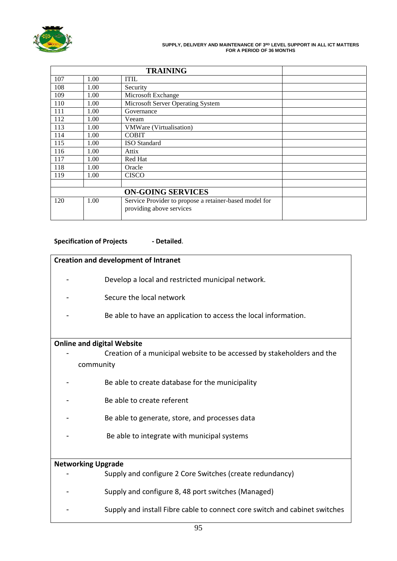

### **SUPPLY, DELIVERY AND MAINTENANCE OF 3RD LEVEL SUPPORT IN ALL ICT MATTERS FOR A PERIOD OF 36 MONTHS**

| 107 | 1.00 | <b>ITIL</b>                                                                        |  |
|-----|------|------------------------------------------------------------------------------------|--|
| 108 | 1.00 | Security                                                                           |  |
| 109 | 1.00 | Microsoft Exchange                                                                 |  |
| 110 | 1.00 | Microsoft Server Operating System                                                  |  |
| 111 | 1.00 | Governance                                                                         |  |
| 112 | 1.00 | Veeam                                                                              |  |
| 113 | 1.00 | VMWare (Virtualisation)                                                            |  |
| 114 | 1.00 | <b>COBIT</b>                                                                       |  |
| 115 | 1.00 | <b>ISO</b> Standard                                                                |  |
| 116 | 1.00 | Attix                                                                              |  |
| 117 | 1.00 | Red Hat                                                                            |  |
| 118 | 1.00 | Oracle                                                                             |  |
| 119 | 1.00 | <b>CISCO</b>                                                                       |  |
|     |      |                                                                                    |  |
|     |      |                                                                                    |  |
| 120 | 1.00 | Service Provider to propose a retainer-based model for<br>providing above services |  |

# **Specification of Projects - Detailed**.

# **Creation and development of Intranet**

- Develop a local and restricted municipal network.
- Secure the local network
- Be able to have an application to access the local information.

# **Online and digital Website**

- Creation of a municipal website to be accessed by stakeholders and the community
- Be able to create database for the municipality
- Be able to create referent
- Be able to generate, store, and processes data
- Be able to integrate with municipal systems

# **Networking Upgrade**

Supply and configure 2 Core Switches (create redundancy) - Supply and configure 8, 48 port switches (Managed) Supply and install Fibre cable to connect core switch and cabinet switches